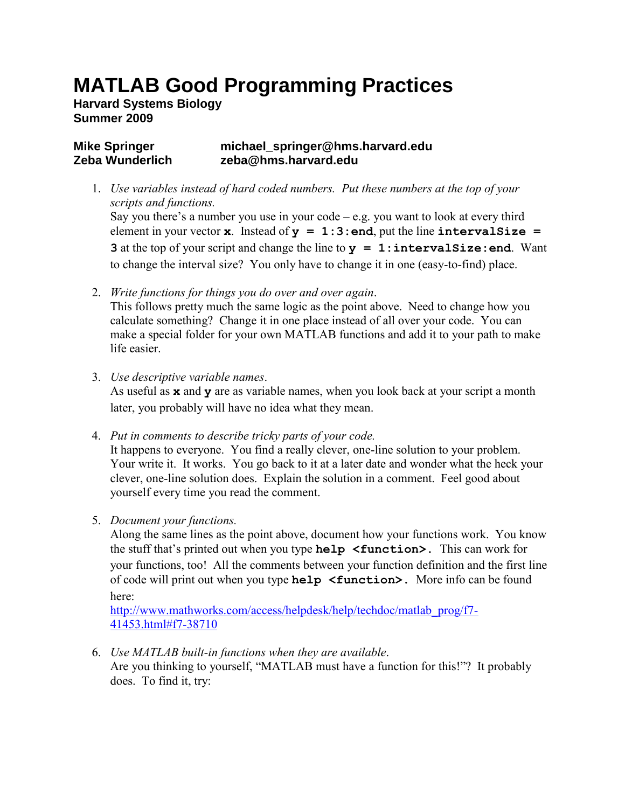## **MATLAB Good Programming Practices**

**Harvard Systems Biology Summer 2009**

## **Mike Springer michael\_springer@hms.harvard.edu Zeba Wunderlich zeba@hms.harvard.edu**

- 1. *Use variables instead of hard coded numbers. Put these numbers at the top of your scripts and functions.* Say you there's a number you use in your code  $-e.g.$  you want to look at every third element in your vector **x**. Instead of  $y = 1:3$ : end, put the line intervalSize = **3** at the top of your script and change the line to  $y = 1$ : intervalSize: end. Want to change the interval size? You only have to change it in one (easy-to-find) place.
- 2. *Write functions for things you do over and over again*.

This follows pretty much the same logic as the point above. Need to change how you calculate something? Change it in one place instead of all over your code. You can make a special folder for your own MATLAB functions and add it to your path to make life easier.

3. *Use descriptive variable names*.

As useful as **x** and **y** are as variable names, when you look back at your script a month later, you probably will have no idea what they mean.

- 4. *Put in comments to describe tricky parts of your code.* It happens to everyone. You find a really clever, one-line solution to your problem. Your write it. It works. You go back to it at a later date and wonder what the heck your clever, one-line solution does. Explain the solution in a comment. Feel good about yourself every time you read the comment.
- 5. *Document your functions.*

Along the same lines as the point above, document how your functions work. You know the stuff that's printed out when you type **help <function>.** This can work for your functions, too! All the comments between your function definition and the first line of code will print out when you type **help <function>.** More info can be found here:

[http://www.mathworks.com/access/helpdesk/help/techdoc/matlab\\_prog/f7-](http://www.mathworks.com/access/helpdesk/help/techdoc/matlab_prog/f7-41453.html#f7-38710) [41453.html#f7-38710](http://www.mathworks.com/access/helpdesk/help/techdoc/matlab_prog/f7-41453.html#f7-38710)

6. *Use MATLAB built-in functions when they are available*. Are you thinking to yourself, "MATLAB must have a function for this!"? It probably does. To find it, try: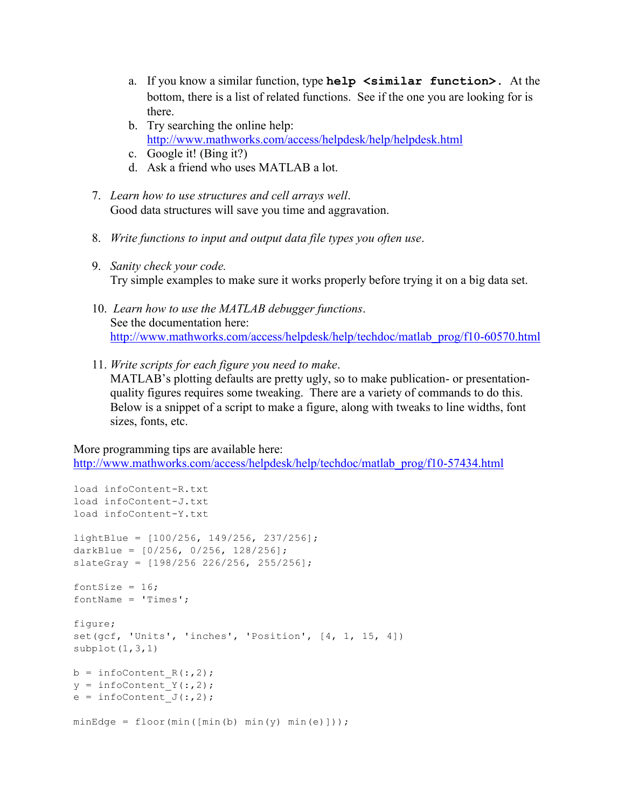- a. If you know a similar function, type **help <similar function>.** At the bottom, there is a list of related functions. See if the one you are looking for is there.
- b. Try searching the online help: <http://www.mathworks.com/access/helpdesk/help/helpdesk.html>
- c. Google it! (Bing it?)
- d. Ask a friend who uses MATLAB a lot.
- 7. *Learn how to use structures and cell arrays well*. Good data structures will save you time and aggravation.
- 8. *Write functions to input and output data file types you often use*.
- 9. *Sanity check your code.*  Try simple examples to make sure it works properly before trying it on a big data set.
- 10. *Learn how to use the MATLAB debugger functions*. See the documentation here: [http://www.mathworks.com/access/helpdesk/help/techdoc/matlab\\_prog/f10-60570.html](http://www.mathworks.com/access/helpdesk/help/techdoc/matlab_prog/f10-60570.html)
- 11. *Write scripts for each figure you need to make*. MATLAB's plotting defaults are pretty ugly, so to make publication- or presentationquality figures requires some tweaking. There are a variety of commands to do this. Below is a snippet of a script to make a figure, along with tweaks to line widths, font sizes, fonts, etc.

More programming tips are available here:

[http://www.mathworks.com/access/helpdesk/help/techdoc/matlab\\_prog/f10-57434.html](http://www.mathworks.com/access/helpdesk/help/techdoc/matlab_prog/f10-57434.html)

```
load infoContent-R.txt
load infoContent-J.txt
load infoContent-Y.txt
lightBlue = [100/256, 149/256, 237/256];
darkBlue = [0/256, 0/256, 128/256];
slateGray = [198/256 226/256, 255/256];fontSize = 16;
fontName = 'Times';
figure;
set(gcf, 'Units', 'inches', 'Position', [4, 1, 15, 4])
subplot(1,3,1)b = infoContent R(:,2);y = infoContent Y(:,2);
e = \infoContent J(:,2);minEdge = floor(min([min(b) min(y) min(e)]));
```